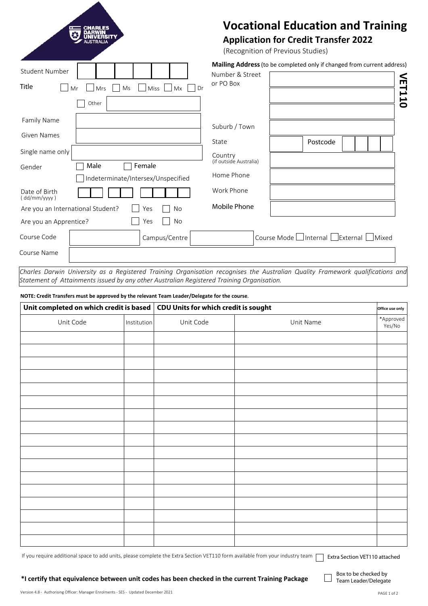|                                                                                                                                                              | <b>Vocational Education and Training</b><br><b>Application for Credit Transfer 2022</b><br>(Recognition of Previous Studies) |
|--------------------------------------------------------------------------------------------------------------------------------------------------------------|------------------------------------------------------------------------------------------------------------------------------|
| <b>Student Number</b><br>Title<br>Dr<br>Ms<br>Mr<br>Mrs<br><b>Miss</b><br>Mx<br>Other                                                                        | Mailing Address (to be completed only if changed from current address)<br>Number & Street<br><<br>ET110<br>or PO Box         |
| Family Name<br>Given Names<br>Single name only<br>Male<br>Female<br>Gender<br>Indeterminate/Intersex/Unspecified                                             | Suburb / Town<br>State<br>Postcode<br>Country<br>(if outside Australia)<br>Home Phone                                        |
| Date of Birth<br>(dd/mm/yyy)<br>Are you an International Student?<br><b>No</b><br>Yes<br>No<br>Are you an Apprentice?<br>Yes<br>Course Code<br>Campus/Centre | Work Phone<br>Mobile Phone<br>Course Mode □ Internal □ External □ Mixed                                                      |
| Course Name                                                                                                                                                  |                                                                                                                              |

*Charles Darwin University as a Registered Training Organisation recognises the Australian Quality Framework qualifications and Statement of Attainments issued by any other Australian Registered Training Organisation.*

**NOTE: Credit Transfers must be approved by the relevant Team Leader/Delegate for the course**.

| Unit completed on which credit is based $\vert$ CDU Units for which credit is sought |             |           | Office use only |                     |
|--------------------------------------------------------------------------------------|-------------|-----------|-----------------|---------------------|
| Unit Code                                                                            | Institution | Unit Code | Unit Name       | *Approved<br>Yes/No |
|                                                                                      |             |           |                 |                     |
|                                                                                      |             |           |                 |                     |
|                                                                                      |             |           |                 |                     |
|                                                                                      |             |           |                 |                     |
|                                                                                      |             |           |                 |                     |
|                                                                                      |             |           |                 |                     |
|                                                                                      |             |           |                 |                     |
|                                                                                      |             |           |                 |                     |
|                                                                                      |             |           |                 |                     |
|                                                                                      |             |           |                 |                     |
|                                                                                      |             |           |                 |                     |
|                                                                                      |             |           |                 |                     |
|                                                                                      |             |           |                 |                     |
|                                                                                      |             |           |                 |                     |
|                                                                                      |             |           |                 |                     |
|                                                                                      |             |           |                 |                     |
|                                                                                      |             |           |                 |                     |

If you require additional space to add units, please complete the Extra Section VET110 form available from your industry team **FRIT Extra Section VET110 attached** 

# **\*I certify that equivalence between unit codes has been checked in the current Training Package** Box to be checked by

Team Leader/Delegate

# **Fraining**